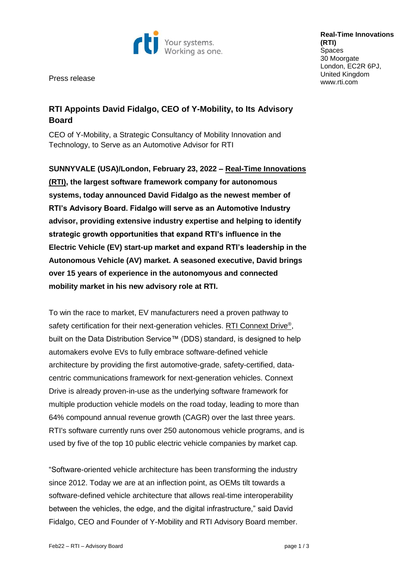

**Real-Time Innovations (RTI) Spaces** 30 Moorgate London, EC2R 6PJ, United Kingdom [www.rti.com](http://www.rti.com/)

Press release

# **RTI Appoints David Fidalgo, CEO of Y-Mobility, to Its Advisory Board**

CEO of Y-Mobility, a Strategic Consultancy of Mobility Innovation and Technology, to Serve as an Automotive Advisor for RTI

**SUNNYVALE (USA)/London, February 23, 2022 – [Real-Time Innovations](https://www.rti.com/en/)  [\(RTI\),](https://www.rti.com/en/) the largest software framework company for autonomous systems, today announced David Fidalgo as the newest member of RTI's Advisory Board. Fidalgo will serve as an Automotive Industry advisor, providing extensive industry expertise and helping to identify strategic growth opportunities that expand RTI's influence in the Electric Vehicle (EV) start-up market and expand RTI's leadership in the Autonomous Vehicle (AV) market. A seasoned executive, David brings over 15 years of experience in the autonomyous and connected mobility market in his new advisory role at RTI.**

To win the race to market, EV manufacturers need a proven pathway to safety certification for their next-generation vehicles. [RTI Connext Drive](https://www.rti.com/drive)®, built on the Data Distribution Service™ (DDS) standard, is designed to help automakers evolve EVs to fully embrace software-defined vehicle architecture by providing the first automotive-grade, safety-certified, datacentric communications framework for next-generation vehicles. Connext Drive is already proven-in-use as the underlying software framework for multiple production vehicle models on the road today, leading to more than 64% compound annual revenue growth (CAGR) over the last three years. RTI's software currently runs over 250 autonomous vehicle programs, and is used by five of the top 10 public electric vehicle companies by market cap.

"Software-oriented vehicle architecture has been transforming the industry since 2012. Today we are at an inflection point, as OEMs tilt towards a software-defined vehicle architecture that allows real-time interoperability between the vehicles, the edge, and the digital infrastructure," said David Fidalgo, CEO and Founder of Y-Mobility and RTI Advisory Board member.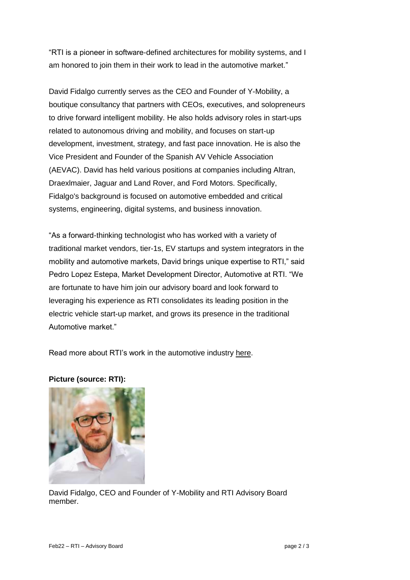"RTI is a pioneer in software-defined architectures for mobility systems, and I am honored to join them in their work to lead in the automotive market."

David Fidalgo currently serves as the CEO and Founder of Y-Mobility, a boutique consultancy that partners with CEOs, executives, and solopreneurs to drive forward intelligent mobility. He also holds advisory roles in start-ups related to autonomous driving and mobility, and focuses on start-up development, investment, strategy, and fast pace innovation. He is also the Vice President and Founder of the Spanish AV Vehicle Association (AEVAC). David has held various positions at companies including Altran, Draexlmaier, Jaguar and Land Rover, and Ford Motors. Specifically, Fidalgo's background is focused on automotive embedded and critical systems, engineering, digital systems, and business innovation.

"As a forward-thinking technologist who has worked with a variety of traditional market vendors, tier-1s, EV startups and system integrators in the mobility and automotive markets, David brings unique expertise to RTI," said Pedro Lopez Estepa, Market Development Director, Automotive at RTI. "We are fortunate to have him join our advisory board and look forward to leveraging his experience as RTI consolidates its leading position in the electric vehicle start-up market, and grows its presence in the traditional Automotive market."

Read more about RTI's work in the automotive industry [here.](https://www.rti.com/industries/automotive)



David Fidalgo, CEO and Founder of Y-Mobility and RTI Advisory Board member.

## **Picture (source: RTI):**